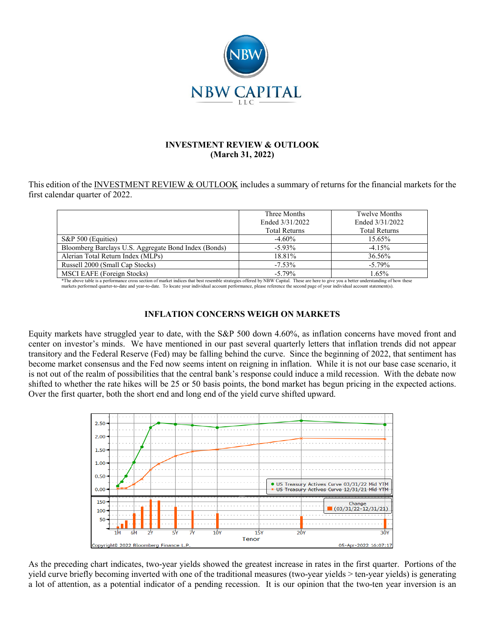

#### **INVESTMENT REVIEW & OUTLOOK (March 31, 2022)**

This edition of the INVESTMENT REVIEW & OUTLOOK includes a summary of returns for the financial markets for the first calendar quarter of 2022.

|                                                                                                                                                                                        | Three Months         | Twelve Months        |
|----------------------------------------------------------------------------------------------------------------------------------------------------------------------------------------|----------------------|----------------------|
|                                                                                                                                                                                        | Ended 3/31/2022      | Ended 3/31/2022      |
|                                                                                                                                                                                        | <b>Total Returns</b> | <b>Total Returns</b> |
| S&P 500 (Equities)                                                                                                                                                                     | $-4.60\%$            | 15.65%               |
| Bloomberg Barclays U.S. Aggregate Bond Index (Bonds)                                                                                                                                   | $-5.93\%$            | $-4.15\%$            |
| Alerian Total Return Index (MLPs)                                                                                                                                                      | 18.81%               | 36.56%               |
| Russell 2000 (Small Cap Stocks)                                                                                                                                                        | $-7.53\%$            | $-5.79\%$            |
| MSCI EAFE (Foreign Stocks)                                                                                                                                                             | $-5.79\%$            | 1.65%                |
| *The above table is a performance cross section of market indices that best resemble strategies offered by NBW Capital. These are here to give you a better understanding of how these |                      |                      |

markets performed quarter-to-date and year-to-date. To locate your individual account performance, please reference the second page of your individual account statement(s).

# **INFLATION CONCERNS WEIGH ON MARKETS**

Equity markets have struggled year to date, with the S&P 500 down 4.60%, as inflation concerns have moved front and center on investor's minds. We have mentioned in our past several quarterly letters that inflation trends did not appear transitory and the Federal Reserve (Fed) may be falling behind the curve. Since the beginning of 2022, that sentiment has become market consensus and the Fed now seems intent on reigning in inflation. While it is not our base case scenario, it is not out of the realm of possibilities that the central bank's response could induce a mild recession. With the debate now shifted to whether the rate hikes will be 25 or 50 basis points, the bond market has begun pricing in the expected actions. Over the first quarter, both the short end and long end of the yield curve shifted upward.



As the preceding chart indicates, two-year yields showed the greatest increase in rates in the first quarter. Portions of the yield curve briefly becoming inverted with one of the traditional measures (two-year yields > ten-year yields) is generating a lot of attention, as a potential indicator of a pending recession. It is our opinion that the two-ten year inversion is an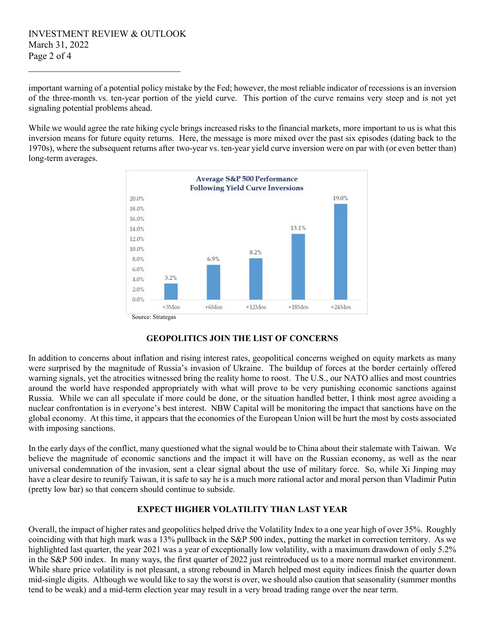# INVESTMENT REVIEW & OUTLOOK March 31, 2022 Page 2 of 4

important warning of a potential policy mistake by the Fed; however, the most reliable indicator of recessions is an inversion of the three-month vs. ten-year portion of the yield curve. This portion of the curve remains very steep and is not yet signaling potential problems ahead.

While we would agree the rate hiking cycle brings increased risks to the financial markets, more important to us is what this inversion means for future equity returns. Here, the message is more mixed over the past six episodes (dating back to the 1970s), where the subsequent returns after two-year vs. ten-year yield curve inversion were on par with (or even better than) long-term averages.



## **GEOPOLITICS JOIN THE LIST OF CONCERNS**

In addition to concerns about inflation and rising interest rates, geopolitical concerns weighed on equity markets as many were surprised by the magnitude of Russia's invasion of Ukraine. The buildup of forces at the border certainly offered warning signals, yet the atrocities witnessed bring the reality home to roost. The U.S., our NATO allies and most countries around the world have responded appropriately with what will prove to be very punishing economic sanctions against Russia. While we can all speculate if more could be done, or the situation handled better, I think most agree avoiding a nuclear confrontation is in everyone's best interest. NBW Capital will be monitoring the impact that sanctions have on the global economy. At this time, it appears that the economies of the European Union will be hurt the most by costs associated with imposing sanctions.

In the early days of the conflict, many questioned what the signal would be to China about their stalemate with Taiwan. We believe the magnitude of economic sanctions and the impact it will have on the Russian economy, as well as the near universal condemnation of the invasion, sent a clear signal about the use of military force. So, while Xi Jinping may have a clear desire to reunify Taiwan, it is safe to say he is a much more rational actor and moral person than Vladimir Putin (pretty low bar) so that concern should continue to subside.

## **EXPECT HIGHER VOLATILITY THAN LAST YEAR**

Overall, the impact of higher rates and geopolitics helped drive the Volatility Index to a one year high of over 35%. Roughly coinciding with that high mark was a 13% pullback in the S&P 500 index, putting the market in correction territory. As we highlighted last quarter, the year 2021 was a year of exceptionally low volatility, with a maximum drawdown of only 5.2% in the S&P 500 index. In many ways, the first quarter of 2022 just reintroduced us to a more normal market environment. While share price volatility is not pleasant, a strong rebound in March helped most equity indices finish the quarter down mid-single digits. Although we would like to say the worst is over, we should also caution that seasonality (summer months tend to be weak) and a mid-term election year may result in a very broad trading range over the near term.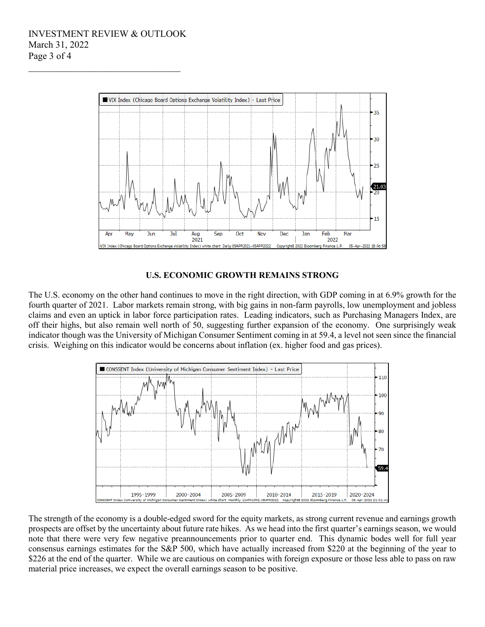

#### **U.S. ECONOMIC GROWTH REMAINS STRONG**

The U.S. economy on the other hand continues to move in the right direction, with GDP coming in at 6.9% growth for the fourth quarter of 2021. Labor markets remain strong, with big gains in non-farm payrolls, low unemployment and jobless claims and even an uptick in labor force participation rates. Leading indicators, such as Purchasing Managers Index, are off their highs, but also remain well north of 50, suggesting further expansion of the economy. One surprisingly weak indicator though was the University of Michigan Consumer Sentiment coming in at 59.4, a level not seen since the financial crisis. Weighing on this indicator would be concerns about inflation (ex. higher food and gas prices).



The strength of the economy is a double-edged sword for the equity markets, as strong current revenue and earnings growth prospects are offset by the uncertainty about future rate hikes. As we head into the first quarter's earnings season, we would note that there were very few negative preannouncements prior to quarter end. This dynamic bodes well for full year consensus earnings estimates for the S&P 500, which have actually increased from \$220 at the beginning of the year to \$226 at the end of the quarter. While we are cautious on companies with foreign exposure or those less able to pass on raw material price increases, we expect the overall earnings season to be positive.